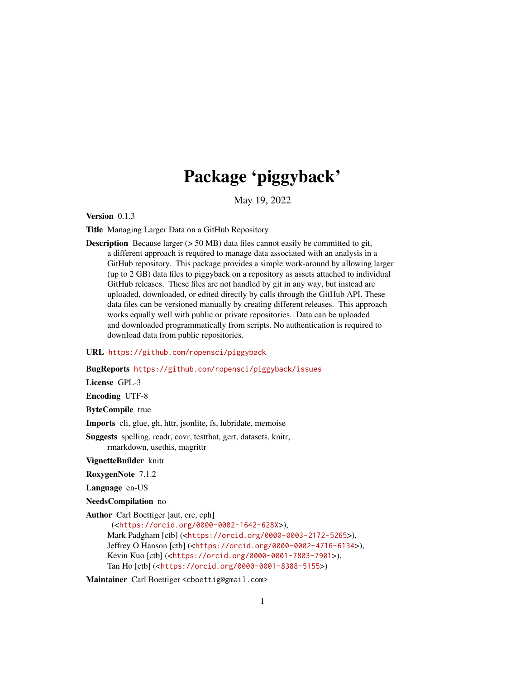## Package 'piggyback'

May 19, 2022

Version 0.1.3

Title Managing Larger Data on a GitHub Repository

Description Because larger (> 50 MB) data files cannot easily be committed to git, a different approach is required to manage data associated with an analysis in a GitHub repository. This package provides a simple work-around by allowing larger (up to 2 GB) data files to piggyback on a repository as assets attached to individual GitHub releases. These files are not handled by git in any way, but instead are uploaded, downloaded, or edited directly by calls through the GitHub API. These data files can be versioned manually by creating different releases. This approach works equally well with public or private repositories. Data can be uploaded and downloaded programmatically from scripts. No authentication is required to download data from public repositories.

URL <https://github.com/ropensci/piggyback>

BugReports <https://github.com/ropensci/piggyback/issues>

License GPL-3

Encoding UTF-8

ByteCompile true

Imports cli, glue, gh, httr, jsonlite, fs, lubridate, memoise

Suggests spelling, readr, covr, testthat, gert, datasets, knitr, rmarkdown, usethis, magrittr

VignetteBuilder knitr

RoxygenNote 7.1.2

Language en-US

NeedsCompilation no

Author Carl Boettiger [aut, cre, cph]

(<<https://orcid.org/0000-0002-1642-628X>>), Mark Padgham [ctb] (<<https://orcid.org/0000-0003-2172-5265>>), Jeffrey O Hanson [ctb] (<<https://orcid.org/0000-0002-4716-6134>>), Kevin Kuo [ctb] (<<https://orcid.org/0000-0001-7803-7901>>), Tan Ho [ctb] (<<https://orcid.org/0000-0001-8388-5155>>)

Maintainer Carl Boettiger <cboettig@gmail.com>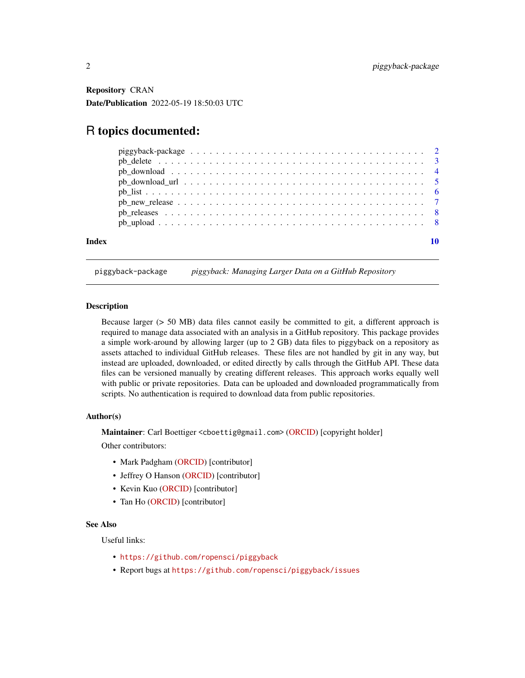<span id="page-1-0"></span>Repository CRAN Date/Publication 2022-05-19 18:50:03 UTC

### R topics documented:

| Index |                                                                                                                              |
|-------|------------------------------------------------------------------------------------------------------------------------------|
|       |                                                                                                                              |
|       |                                                                                                                              |
|       | $pb_new_release \dots \dots \dots \dots \dots \dots \dots \dots \dots \dots \dots \dots \dots \dots \dots \dots \dots \dots$ |
|       |                                                                                                                              |
|       |                                                                                                                              |
|       |                                                                                                                              |
|       |                                                                                                                              |
|       |                                                                                                                              |

piggyback-package *piggyback: Managing Larger Data on a GitHub Repository*

#### **Description**

Because larger (> 50 MB) data files cannot easily be committed to git, a different approach is required to manage data associated with an analysis in a GitHub repository. This package provides a simple work-around by allowing larger (up to 2 GB) data files to piggyback on a repository as assets attached to individual GitHub releases. These files are not handled by git in any way, but instead are uploaded, downloaded, or edited directly by calls through the GitHub API. These data files can be versioned manually by creating different releases. This approach works equally well with public or private repositories. Data can be uploaded and downloaded programmatically from scripts. No authentication is required to download data from public repositories.

#### Author(s)

Maintainer: Carl Boettiger <cboettig@gmail.com> [\(ORCID\)](https://orcid.org/0000-0002-1642-628X) [copyright holder]

Other contributors:

- Mark Padgham [\(ORCID\)](https://orcid.org/0000-0003-2172-5265) [contributor]
- Jeffrey O Hanson [\(ORCID\)](https://orcid.org/0000-0002-4716-6134) [contributor]
- Kevin Kuo [\(ORCID\)](https://orcid.org/0000-0001-7803-7901) [contributor]
- Tan Ho [\(ORCID\)](https://orcid.org/0000-0001-8388-5155) [contributor]

#### See Also

Useful links:

- <https://github.com/ropensci/piggyback>
- Report bugs at <https://github.com/ropensci/piggyback/issues>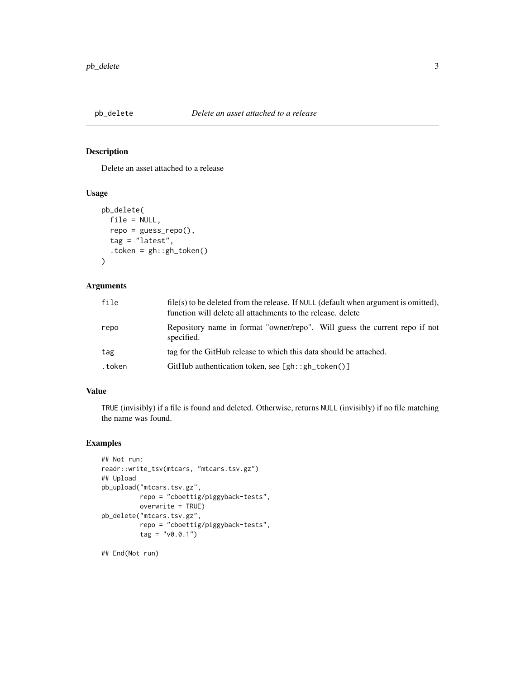<span id="page-2-0"></span>

Delete an asset attached to a release

#### Usage

```
pb_delete(
  file = NULL,
  repo = guess_repo(),
  tag = "latest",
  .token = gh::gh_token()
)
```
#### Arguments

| file   | file(s) to be deleted from the release. If NULL (default when argument is omitted),<br>function will delete all attachments to the release, delete |
|--------|----------------------------------------------------------------------------------------------------------------------------------------------------|
| repo   | Repository name in format "owner/repo". Will guess the current repo if not<br>specified.                                                           |
| tag    | tag for the GitHub release to which this data should be attached.                                                                                  |
| .token | GitHub authentication token, see $[gh::gh_t]$                                                                                                      |

#### Value

TRUE (invisibly) if a file is found and deleted. Otherwise, returns NULL (invisibly) if no file matching the name was found.

#### Examples

```
## Not run:
readr::write_tsv(mtcars, "mtcars.tsv.gz")
## Upload
pb_upload("mtcars.tsv.gz",
          repo = "cboettig/piggyback-tests",
          overwrite = TRUE)
pb_delete("mtcars.tsv.gz",
          repo = "cboettig/piggyback-tests",
          tag = "v0.0.1")
```
## End(Not run)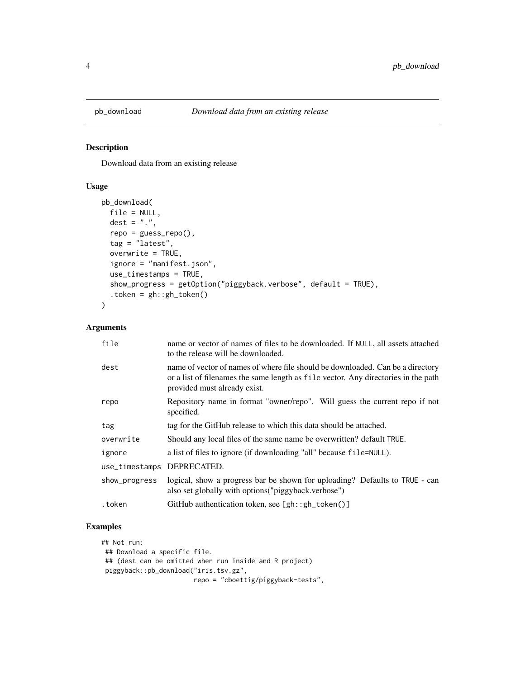Download data from an existing release

#### Usage

```
pb_download(
  file = NULL,
  dest = "."repo = guess_repo(),
  tag = "latest",
  overwrite = TRUE,
  ignore = "manifest.json",
  use_timestamps = TRUE,
  show_progress = getOption("piggyback.verbose", default = TRUE),
  .token = gh::gh_token()
)
```
#### Arguments

| file           | name or vector of names of files to be downloaded. If NULL, all assets attached<br>to the release will be downloaded.                                                                                |
|----------------|------------------------------------------------------------------------------------------------------------------------------------------------------------------------------------------------------|
| dest           | name of vector of names of where file should be downloaded. Can be a directory<br>or a list of filenames the same length as file vector. Any directories in the path<br>provided must already exist. |
| repo           | Repository name in format "owner/repo". Will guess the current repo if not<br>specified.                                                                                                             |
| tag            | tag for the GitHub release to which this data should be attached.                                                                                                                                    |
| overwrite      | Should any local files of the same name be overwritten? default TRUE.                                                                                                                                |
| ignore         | a list of files to ignore (if downloading "all" because file=NULL).                                                                                                                                  |
| use_timestamps | DEPRECATED.                                                                                                                                                                                          |
| show_progress  | logical, show a progress bar be shown for uploading? Defaults to TRUE - can<br>also set globally with options ("piggyback.verbose")                                                                  |
| .token         | GitHub authentication token, see $[gh::gh\_token()$ ]                                                                                                                                                |

#### Examples

```
## Not run:
## Download a specific file.
## (dest can be omitted when run inside and R project)
piggyback::pb_download("iris.tsv.gz",
                       repo = "cboettig/piggyback-tests",
```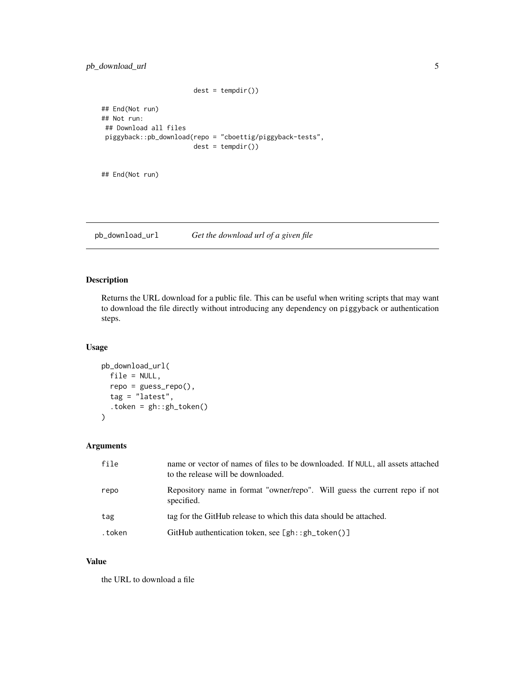```
## End(Not run)
## Not run:
## Download all files
piggyback::pb_download(repo = "cboettig/piggyback-tests",
                       dest = tempdir()
```
 $dest = tempdir()$ 

```
## End(Not run)
```
pb\_download\_url *Get the download url of a given file*

#### Description

Returns the URL download for a public file. This can be useful when writing scripts that may want to download the file directly without introducing any dependency on piggyback or authentication steps.

#### Usage

```
pb_download_url(
  file = NULL,
  repo = guess_repo(),
  tag = "latest",
  .token = gh::gh_token()
)
```
#### Arguments

| file   | name or vector of names of files to be downloaded. If NULL, all assets attached<br>to the release will be downloaded. |
|--------|-----------------------------------------------------------------------------------------------------------------------|
| repo   | Repository name in format "owner/repo". Will guess the current repo if not<br>specified.                              |
| tag    | tag for the GitHub release to which this data should be attached.                                                     |
| .token | GitHub authentication token, see [gh::gh_token()]                                                                     |

#### Value

the URL to download a file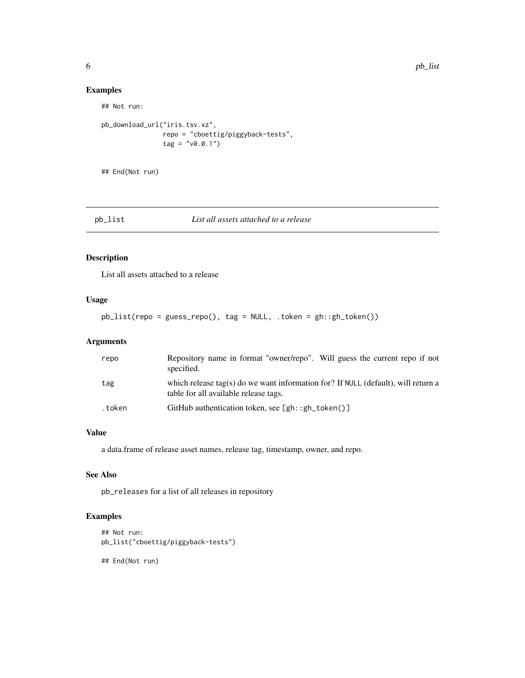#### Examples

## Not run:

```
pb_download_url("iris.tsv.xz",
               repo = "cboettig/piggyback-tests",
               tag = "v0.0.1")
```
## End(Not run)

#### pb\_list *List all assets attached to a release*

#### Description

List all assets attached to a release

#### Usage

```
pb_list(repo = guess_repo(), tag = NULL, .token = gh::gh_token())
```
#### Arguments

| repo   | Repository name in format "owner/repo". Will guess the current repo if not<br>specified.                                   |
|--------|----------------------------------------------------------------------------------------------------------------------------|
| tag    | which release tag(s) do we want information for? If NULL (default), will return a<br>table for all available release tags. |
| .token | GitHub authentication token, see $[gh::gh\_token()$                                                                        |

#### Value

a data.frame of release asset names, release tag, timestamp, owner, and repo.

#### See Also

pb\_releases for a list of all releases in repository

#### Examples

```
## Not run:
pb_list("cboettig/piggyback-tests")
```
## End(Not run)

<span id="page-5-0"></span>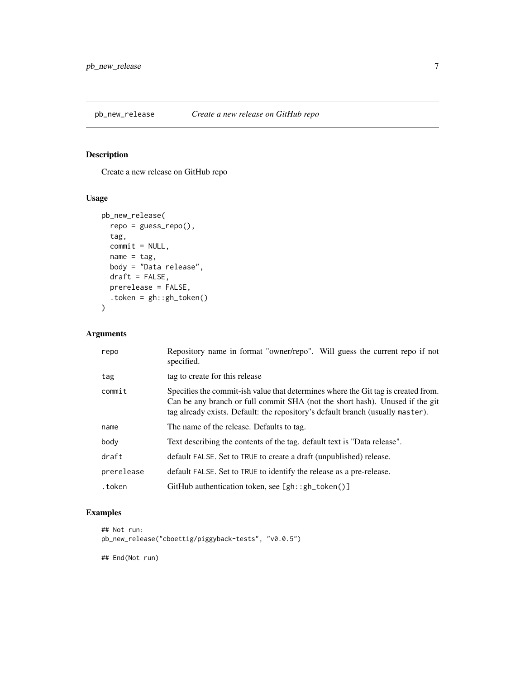<span id="page-6-0"></span>

Create a new release on GitHub repo

#### Usage

```
pb_new_release(
  repo = guess_repo(),
  tag,
  commit = NULL,name = tag,body = "Data release",
  draft = FALSE,
  prerelease = FALSE,
  .token = gh::gh_token()
\mathcal{L}
```
#### Arguments

| repo       | Repository name in format "owner/repo". Will guess the current repo if not<br>specified.                                                                                                                                                            |
|------------|-----------------------------------------------------------------------------------------------------------------------------------------------------------------------------------------------------------------------------------------------------|
| tag        | tag to create for this release                                                                                                                                                                                                                      |
| commit     | Specifies the commit-ish value that determines where the Git tag is created from.<br>Can be any branch or full commit SHA (not the short hash). Unused if the git<br>tag already exists. Default: the repository's default branch (usually master). |
| name       | The name of the release. Defaults to tag.                                                                                                                                                                                                           |
| body       | Text describing the contents of the tag. default text is "Data release".                                                                                                                                                                            |
| draft      | default FALSE. Set to TRUE to create a draft (unpublished) release.                                                                                                                                                                                 |
| prerelease | default FALSE. Set to TRUE to identify the release as a pre-release.                                                                                                                                                                                |
| .token     | GitHub authentication token, see $[gh::gh\_token()$ ]                                                                                                                                                                                               |

#### Examples

```
## Not run:
pb_new_release("cboettig/piggyback-tests", "v0.0.5")
## End(Not run)
```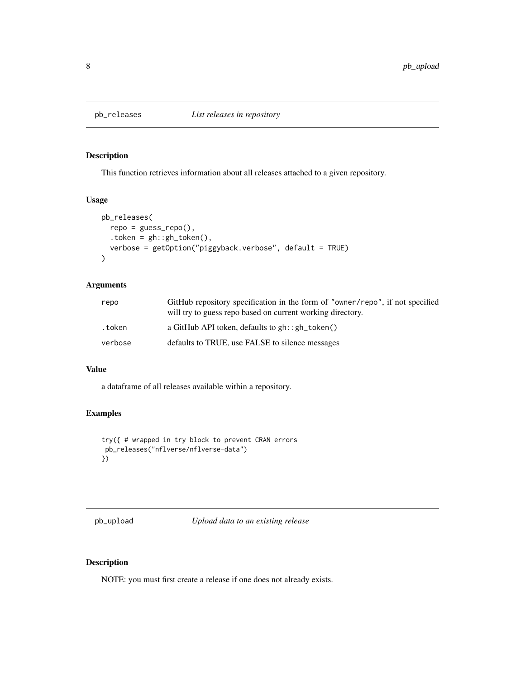<span id="page-7-0"></span>

This function retrieves information about all releases attached to a given repository.

#### Usage

```
pb_releases(
  repo = guess_repo(),
  . token = gh: :gh_token(),
 verbose = getOption("piggyback.verbose", default = TRUE)
)
```
#### Arguments

| repo    | GitHub repository specification in the form of "owner/repo", if not specified<br>will try to guess repo based on current working directory. |
|---------|---------------------------------------------------------------------------------------------------------------------------------------------|
| .token  | a GitHub API token, defaults to $gh$ : : $gh$ _token()                                                                                      |
| verbose | defaults to TRUE, use FALSE to silence messages                                                                                             |

#### Value

a dataframe of all releases available within a repository.

#### Examples

```
try({ # wrapped in try block to prevent CRAN errors
pb_releases("nflverse/nflverse-data")
})
```
pb\_upload *Upload data to an existing release*

#### Description

NOTE: you must first create a release if one does not already exists.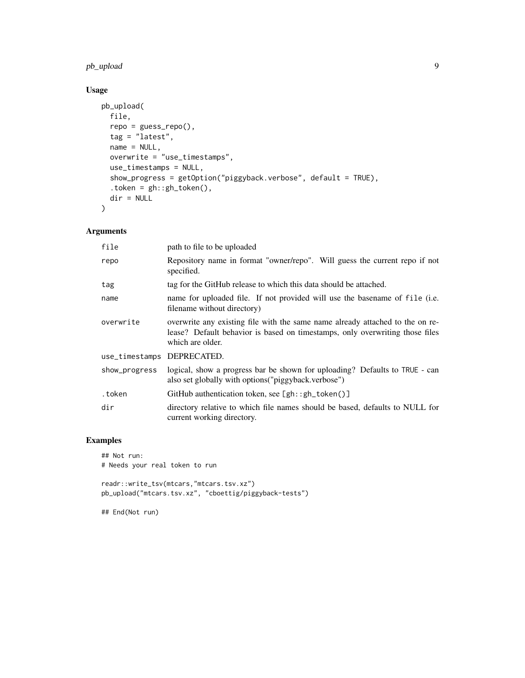#### pb\_upload 9

#### Usage

```
pb_upload(
  file,
  repo = guess_repo(),
  tag = "latest",
  name = NULL,overwrite = "use_timestamps",
  use_timestamps = NULL,
  show_progress = getOption("piggyback.verbose", default = TRUE),
  . token = gh: :gh_token(),
  dir = NULL
)
```
#### Arguments

| file                       | path to file to be uploaded                                                                                                                                                       |
|----------------------------|-----------------------------------------------------------------------------------------------------------------------------------------------------------------------------------|
| repo                       | Repository name in format "owner/repo". Will guess the current repo if not<br>specified.                                                                                          |
| tag                        | tag for the GitHub release to which this data should be attached.                                                                                                                 |
| name                       | name for uploaded file. If not provided will use the basename of file (i.e.<br>filename without directory)                                                                        |
| overwrite                  | overwrite any existing file with the same name already attached to the on re-<br>lease? Default behavior is based on timestamps, only overwriting those files<br>which are older. |
| use_timestamps DEPRECATED. |                                                                                                                                                                                   |
| show_progress              | logical, show a progress bar be shown for uploading? Defaults to TRUE - can<br>also set globally with options ("piggyback.verbose")                                               |
| .token                     | GitHub authentication token, see $[gh::gh\_token()$ ]                                                                                                                             |
| dir                        | directory relative to which file names should be based, defaults to NULL for<br>current working directory.                                                                        |

#### Examples

## Not run: # Needs your real token to run

readr::write\_tsv(mtcars,"mtcars.tsv.xz") pb\_upload("mtcars.tsv.xz", "cboettig/piggyback-tests")

## End(Not run)